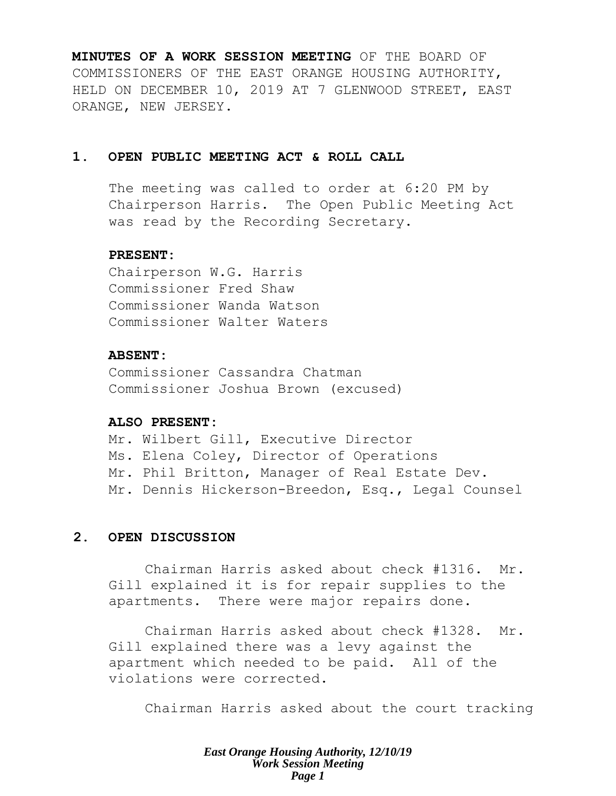**MINUTES OF A WORK SESSION MEETING** OF THE BOARD OF COMMISSIONERS OF THE EAST ORANGE HOUSING AUTHORITY, HELD ON DECEMBER 10, 2019 AT 7 GLENWOOD STREET, EAST ORANGE, NEW JERSEY.

## **1. OPEN PUBLIC MEETING ACT & ROLL CALL**

The meeting was called to order at 6:20 PM by Chairperson Harris. The Open Public Meeting Act was read by the Recording Secretary.

### **PRESENT:**

Chairperson W.G. Harris Commissioner Fred Shaw Commissioner Wanda Watson Commissioner Walter Waters

## **ABSENT:**

Commissioner Cassandra Chatman Commissioner Joshua Brown (excused)

## **ALSO PRESENT:**

Mr. Wilbert Gill, Executive Director Ms. Elena Coley, Director of Operations Mr. Phil Britton, Manager of Real Estate Dev. Mr. Dennis Hickerson-Breedon, Esq., Legal Counsel

## **2. OPEN DISCUSSION**

Chairman Harris asked about check #1316. Mr. Gill explained it is for repair supplies to the apartments. There were major repairs done.

Chairman Harris asked about check #1328. Mr. Gill explained there was a levy against the apartment which needed to be paid. All of the violations were corrected.

Chairman Harris asked about the court tracking

*East Orange Housing Authority, 12/10/19 Work Session Meeting Page 1*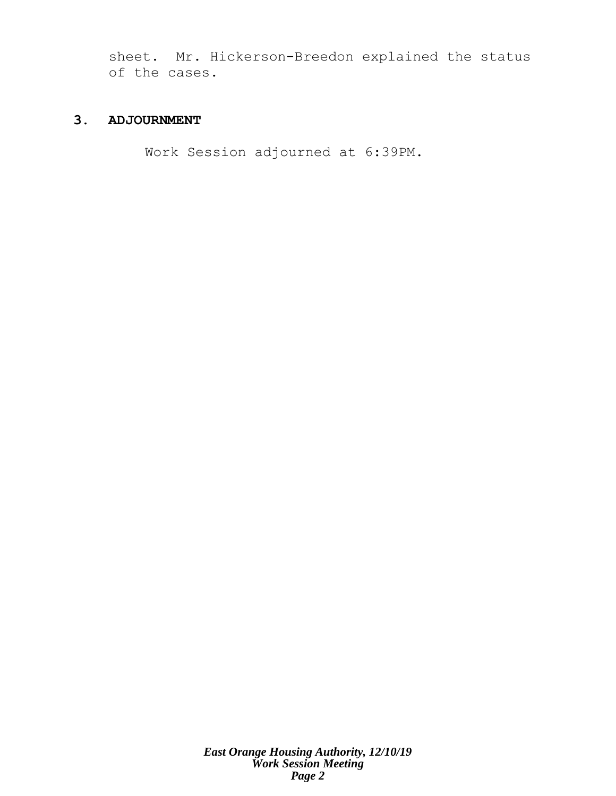sheet. Mr. Hickerson-Breedon explained the status of the cases.

## **3. ADJOURNMENT**

Work Session adjourned at 6:39PM.

*East Orange Housing Authority, 12/10/19 Work Session Meeting Page 2*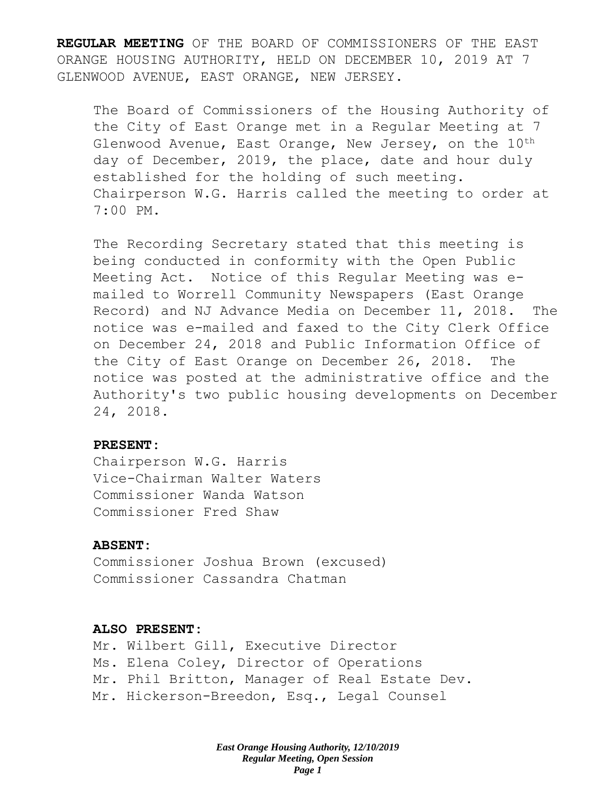**REGULAR MEETING** OF THE BOARD OF COMMISSIONERS OF THE EAST ORANGE HOUSING AUTHORITY, HELD ON DECEMBER 10, 2019 AT 7 GLENWOOD AVENUE, EAST ORANGE, NEW JERSEY.

The Board of Commissioners of the Housing Authority of the City of East Orange met in a Regular Meeting at 7 Glenwood Avenue, East Orange, New Jersey, on the  $10^{th}$ day of December, 2019, the place, date and hour duly established for the holding of such meeting. Chairperson W.G. Harris called the meeting to order at 7:00 PM.

The Recording Secretary stated that this meeting is being conducted in conformity with the Open Public Meeting Act. Notice of this Regular Meeting was emailed to Worrell Community Newspapers (East Orange Record) and NJ Advance Media on December 11, 2018. The notice was e-mailed and faxed to the City Clerk Office on December 24, 2018 and Public Information Office of the City of East Orange on December 26, 2018. The notice was posted at the administrative office and the Authority's two public housing developments on December 24, 2018.

### **PRESENT:**

Chairperson W.G. Harris Vice-Chairman Walter Waters Commissioner Wanda Watson Commissioner Fred Shaw

## **ABSENT:**

Commissioner Joshua Brown (excused) Commissioner Cassandra Chatman

### **ALSO PRESENT:**

Mr. Wilbert Gill, Executive Director Ms. Elena Coley, Director of Operations Mr. Phil Britton, Manager of Real Estate Dev. Mr. Hickerson-Breedon, Esq., Legal Counsel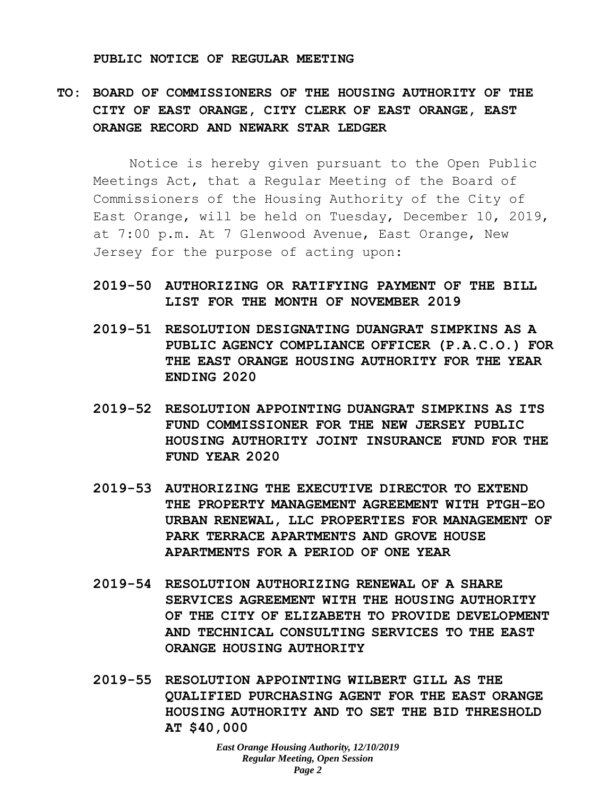#### **PUBLIC NOTICE OF REGULAR MEETING**

# **TO: BOARD OF COMMISSIONERS OF THE HOUSING AUTHORITY OF THE CITY OF EAST ORANGE, CITY CLERK OF EAST ORANGE, EAST ORANGE RECORD AND NEWARK STAR LEDGER**

Notice is hereby given pursuant to the Open Public Meetings Act, that a Regular Meeting of the Board of Commissioners of the Housing Authority of the City of East Orange, will be held on Tuesday, December 10, 2019, at 7:00 p.m. At 7 Glenwood Avenue, East Orange, New Jersey for the purpose of acting upon:

- **2019-50 AUTHORIZING OR RATIFYING PAYMENT OF THE BILL LIST FOR THE MONTH OF NOVEMBER 2019**
- **2019-51 RESOLUTION DESIGNATING DUANGRAT SIMPKINS AS A PUBLIC AGENCY COMPLIANCE OFFICER (P.A.C.O.) FOR THE EAST ORANGE HOUSING AUTHORITY FOR THE YEAR ENDING 2020**
- **2019-52 RESOLUTION APPOINTING DUANGRAT SIMPKINS AS ITS FUND COMMISSIONER FOR THE NEW JERSEY PUBLIC HOUSING AUTHORITY JOINT INSURANCE FUND FOR THE FUND YEAR 2020**
- **2019-53 AUTHORIZING THE EXECUTIVE DIRECTOR TO EXTEND THE PROPERTY MANAGEMENT AGREEMENT WITH PTGH-EO URBAN RENEWAL, LLC PROPERTIES FOR MANAGEMENT OF PARK TERRACE APARTMENTS AND GROVE HOUSE APARTMENTS FOR A PERIOD OF ONE YEAR**
- **2019-54 RESOLUTION AUTHORIZING RENEWAL OF A SHARE SERVICES AGREEMENT WITH THE HOUSING AUTHORITY OF THE CITY OF ELIZABETH TO PROVIDE DEVELOPMENT AND TECHNICAL CONSULTING SERVICES TO THE EAST ORANGE HOUSING AUTHORITY**
- **2019-55 RESOLUTION APPOINTING WILBERT GILL AS THE QUALIFIED PURCHASING AGENT FOR THE EAST ORANGE HOUSING AUTHORITY AND TO SET THE BID THRESHOLD AT \$40,000**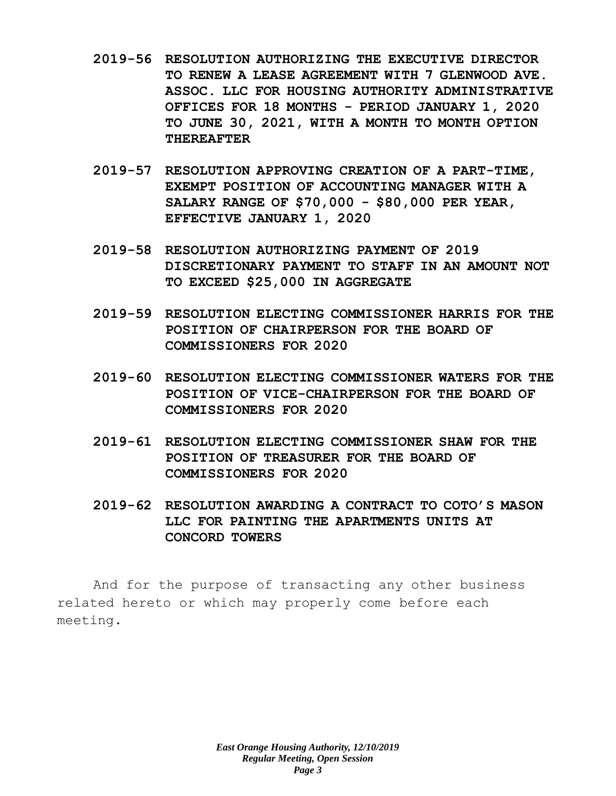- **2019-56 RESOLUTION AUTHORIZING THE EXECUTIVE DIRECTOR TO RENEW A LEASE AGREEMENT WITH 7 GLENWOOD AVE. ASSOC. LLC FOR HOUSING AUTHORITY ADMINISTRATIVE OFFICES FOR 18 MONTHS - PERIOD JANUARY 1, 2020 TO JUNE 30, 2021, WITH A MONTH TO MONTH OPTION THEREAFTER**
- **2019-57 RESOLUTION APPROVING CREATION OF A PART-TIME, EXEMPT POSITION OF ACCOUNTING MANAGER WITH A SALARY RANGE OF \$70,000 - \$80,000 PER YEAR, EFFECTIVE JANUARY 1, 2020**
- **2019-58 RESOLUTION AUTHORIZING PAYMENT OF 2019 DISCRETIONARY PAYMENT TO STAFF IN AN AMOUNT NOT TO EXCEED \$25,000 IN AGGREGATE**
- **2019-59 RESOLUTION ELECTING COMMISSIONER HARRIS FOR THE POSITION OF CHAIRPERSON FOR THE BOARD OF COMMISSIONERS FOR 2020**
- **2019-60 RESOLUTION ELECTING COMMISSIONER WATERS FOR THE POSITION OF VICE-CHAIRPERSON FOR THE BOARD OF COMMISSIONERS FOR 2020**
- **2019-61 RESOLUTION ELECTING COMMISSIONER SHAW FOR THE POSITION OF TREASURER FOR THE BOARD OF COMMISSIONERS FOR 2020**
- **2019-62 RESOLUTION AWARDING A CONTRACT TO COTO'S MASON LLC FOR PAINTING THE APARTMENTS UNITS AT CONCORD TOWERS**

And for the purpose of transacting any other business related hereto or which may properly come before each meeting.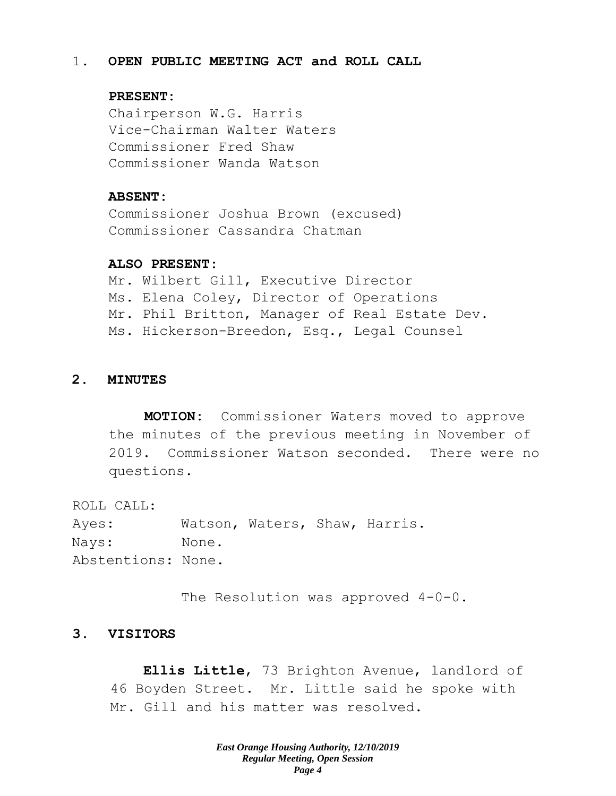## 1. **OPEN PUBLIC MEETING ACT and ROLL CALL**

## **PRESENT:**

Chairperson W.G. Harris Vice-Chairman Walter Waters Commissioner Fred Shaw Commissioner Wanda Watson

### **ABSENT:**

Commissioner Joshua Brown (excused) Commissioner Cassandra Chatman

### **ALSO PRESENT:**

Mr. Wilbert Gill, Executive Director Ms. Elena Coley, Director of Operations Mr. Phil Britton, Manager of Real Estate Dev. Ms. Hickerson-Breedon, Esq., Legal Counsel

## **2. MINUTES**

**MOTION:** Commissioner Waters moved to approve the minutes of the previous meeting in November of 2019. Commissioner Watson seconded. There were no questions.

ROLL CALL: Ayes: Watson, Waters, Shaw, Harris. Nays: None. Abstentions: None.

The Resolution was approved  $4-0-0$ .

## **3. VISITORS**

**Ellis Little**, 73 Brighton Avenue, landlord of 46 Boyden Street. Mr. Little said he spoke with Mr. Gill and his matter was resolved.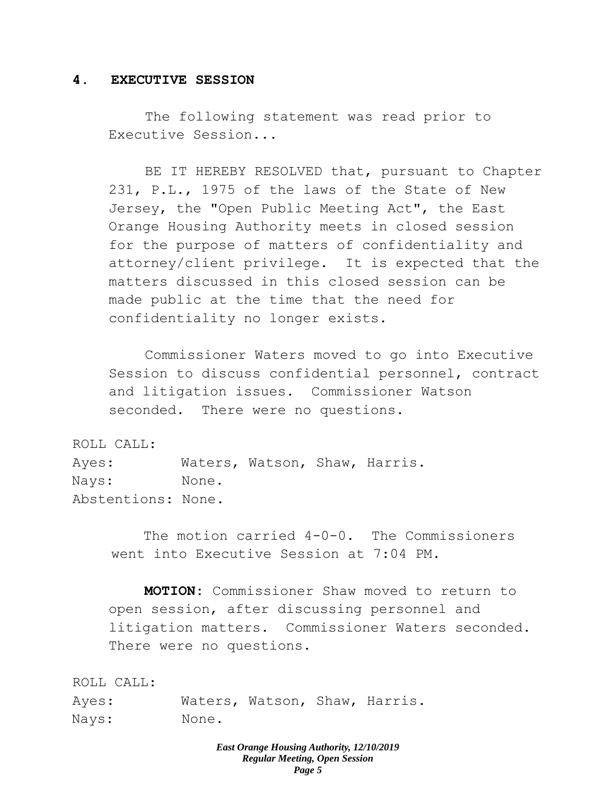## **4. EXECUTIVE SESSION**

The following statement was read prior to Executive Session...

BE IT HEREBY RESOLVED that, pursuant to Chapter 231, P.L., 1975 of the laws of the State of New Jersey, the "Open Public Meeting Act", the East Orange Housing Authority meets in closed session for the purpose of matters of confidentiality and attorney/client privilege. It is expected that the matters discussed in this closed session can be made public at the time that the need for confidentiality no longer exists.

Commissioner Waters moved to go into Executive Session to discuss confidential personnel, contract and litigation issues. Commissioner Watson seconded. There were no questions.

ROLL CALL:

Ayes: Waters, Watson, Shaw, Harris. Nays: None. Abstentions: None.

> The motion carried 4-0-0. The Commissioners went into Executive Session at 7:04 PM.

**MOTION:** Commissioner Shaw moved to return to open session, after discussing personnel and litigation matters. Commissioner Waters seconded. There were no questions.

ROLL CALL:

Ayes: Waters, Watson, Shaw, Harris. Nays: None.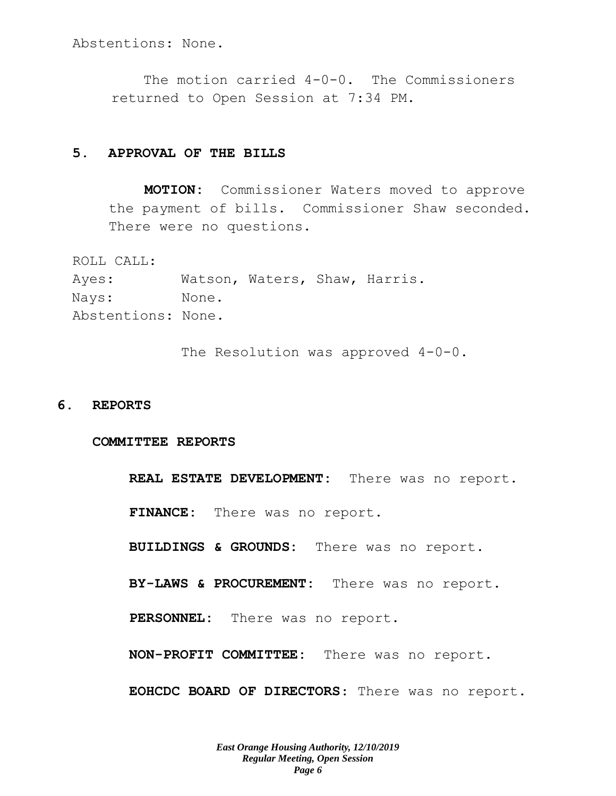Abstentions: None.

The motion carried 4-0-0. The Commissioners returned to Open Session at 7:34 PM.

### **5. APPROVAL OF THE BILLS**

**MOTION:** Commissioner Waters moved to approve the payment of bills. Commissioner Shaw seconded. There were no questions.

ROLL CALL:

Ayes: Watson, Waters, Shaw, Harris. Nays: None. Abstentions: None.

The Resolution was approved 4-0-0.

### **6. REPORTS**

#### **COMMITTEE REPORTS**

**REAL ESTATE DEVELOPMENT:** There was no report. **FINANCE:** There was no report. **BUILDINGS & GROUNDS:** There was no report. **BY-LAWS & PROCUREMENT:** There was no report. **PERSONNEL:** There was no report. **NON-PROFIT COMMITTEE:** There was no report. **EOHCDC BOARD OF DIRECTORS**: There was no report.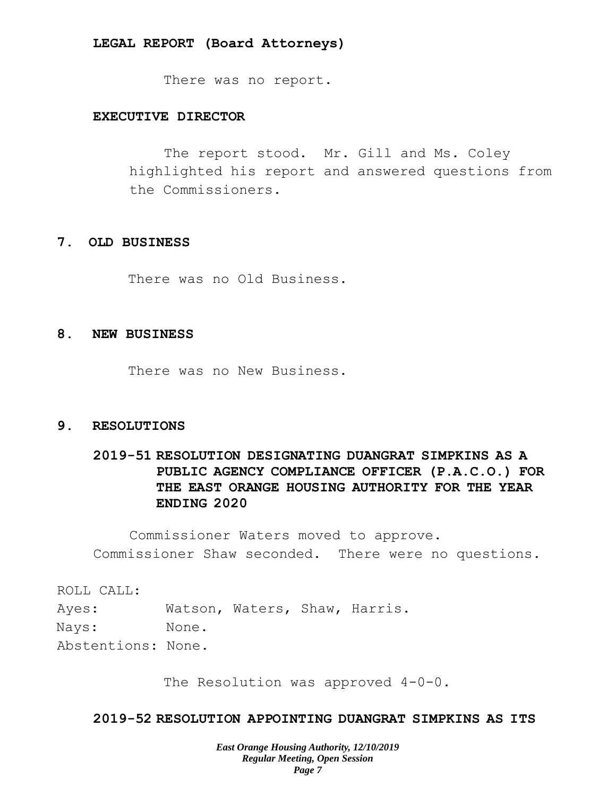### **LEGAL REPORT (Board Attorneys)**

There was no report.

## **EXECUTIVE DIRECTOR**

The report stood. Mr. Gill and Ms. Coley highlighted his report and answered questions from the Commissioners.

### **7. OLD BUSINESS**

There was no Old Business.

## **8. NEW BUSINESS**

There was no New Business.

### **9. RESOLUTIONS**

# **2019-51 RESOLUTION DESIGNATING DUANGRAT SIMPKINS AS A PUBLIC AGENCY COMPLIANCE OFFICER (P.A.C.O.) FOR THE EAST ORANGE HOUSING AUTHORITY FOR THE YEAR ENDING 2020**

Commissioner Waters moved to approve. Commissioner Shaw seconded. There were no questions.

ROLL CALL: Ayes: Watson, Waters, Shaw, Harris. Nays: None. Abstentions: None.

The Resolution was approved  $4-0-0$ .

## **2019-52 RESOLUTION APPOINTING DUANGRAT SIMPKINS AS ITS**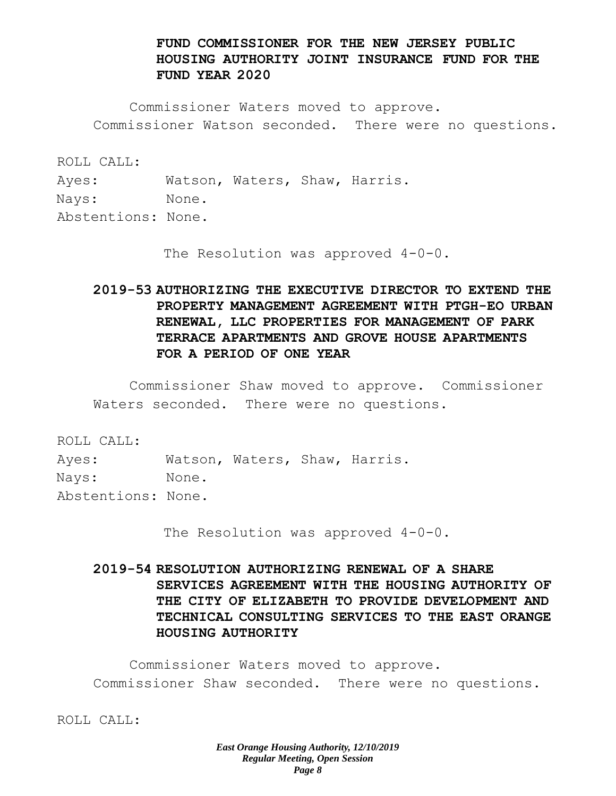## **FUND COMMISSIONER FOR THE NEW JERSEY PUBLIC HOUSING AUTHORITY JOINT INSURANCE FUND FOR THE FUND YEAR 2020**

Commissioner Waters moved to approve. Commissioner Watson seconded. There were no questions.

ROLL CALL:

Ayes: Watson, Waters, Shaw, Harris.

Nays: None.

Abstentions: None.

The Resolution was approved 4-0-0.

# **2019-53 AUTHORIZING THE EXECUTIVE DIRECTOR TO EXTEND THE PROPERTY MANAGEMENT AGREEMENT WITH PTGH-EO URBAN RENEWAL, LLC PROPERTIES FOR MANAGEMENT OF PARK TERRACE APARTMENTS AND GROVE HOUSE APARTMENTS FOR A PERIOD OF ONE YEAR**

Commissioner Shaw moved to approve. Commissioner Waters seconded. There were no questions.

ROLL CALL:

Ayes: Watson, Waters, Shaw, Harris. Nays: None.

Abstentions: None.

The Resolution was approved 4-0-0.

# **2019-54 RESOLUTION AUTHORIZING RENEWAL OF A SHARE SERVICES AGREEMENT WITH THE HOUSING AUTHORITY OF THE CITY OF ELIZABETH TO PROVIDE DEVELOPMENT AND TECHNICAL CONSULTING SERVICES TO THE EAST ORANGE HOUSING AUTHORITY**

Commissioner Waters moved to approve. Commissioner Shaw seconded. There were no questions.

ROLL CALL: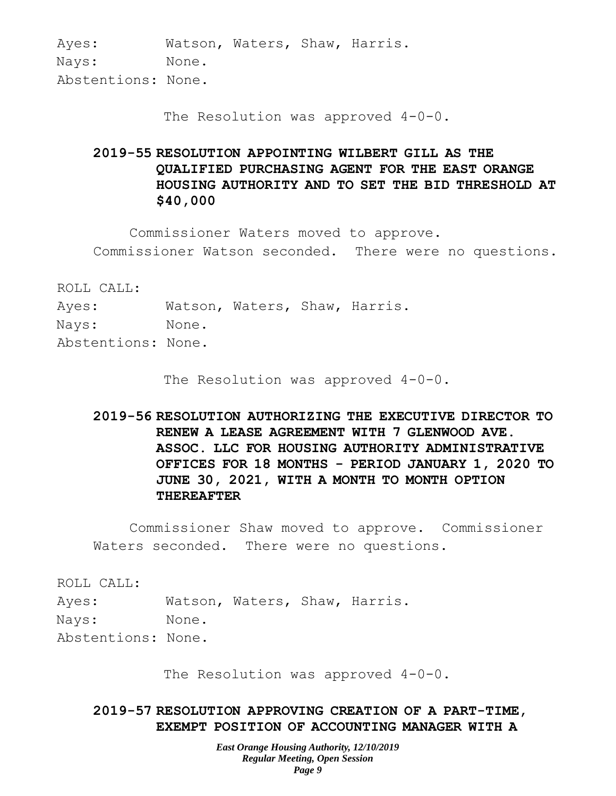Ayes: Watson, Waters, Shaw, Harris. Nays: None. Abstentions: None.

The Resolution was approved  $4-0-0$ .

# **2019-55 RESOLUTION APPOINTING WILBERT GILL AS THE QUALIFIED PURCHASING AGENT FOR THE EAST ORANGE HOUSING AUTHORITY AND TO SET THE BID THRESHOLD AT \$40,000**

Commissioner Waters moved to approve. Commissioner Watson seconded. There were no questions.

ROLL CALL:

Ayes: Watson, Waters, Shaw, Harris. Nays: None. Abstentions: None.

The Resolution was approved 4-0-0.

**2019-56 RESOLUTION AUTHORIZING THE EXECUTIVE DIRECTOR TO RENEW A LEASE AGREEMENT WITH 7 GLENWOOD AVE. ASSOC. LLC FOR HOUSING AUTHORITY ADMINISTRATIVE OFFICES FOR 18 MONTHS - PERIOD JANUARY 1, 2020 TO JUNE 30, 2021, WITH A MONTH TO MONTH OPTION THEREAFTER**

Commissioner Shaw moved to approve. Commissioner Waters seconded. There were no questions.

ROLL CALL:

Ayes: Watson, Waters, Shaw, Harris.

Nays: None.

Abstentions: None.

The Resolution was approved  $4-0-0$ .

## **2019-57 RESOLUTION APPROVING CREATION OF A PART-TIME, EXEMPT POSITION OF ACCOUNTING MANAGER WITH A**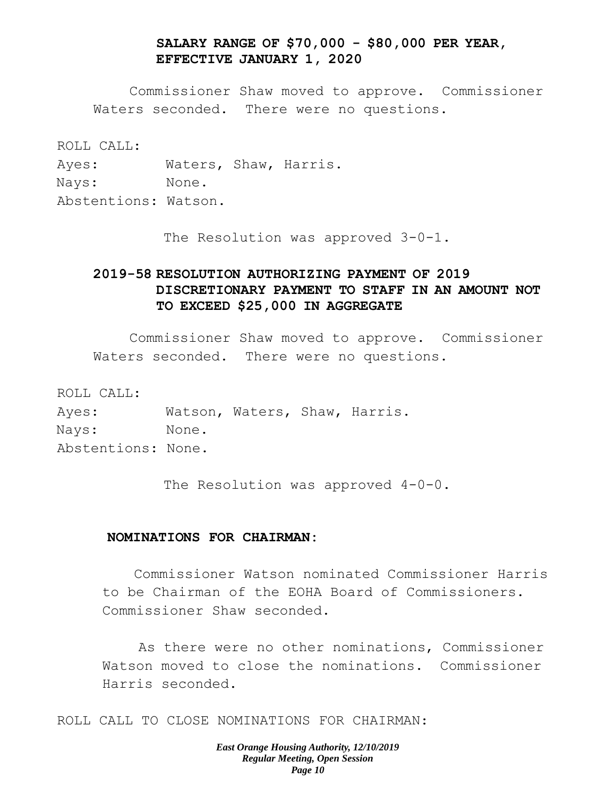## **SALARY RANGE OF \$70,000 - \$80,000 PER YEAR, EFFECTIVE JANUARY 1, 2020**

Commissioner Shaw moved to approve. Commissioner Waters seconded. There were no questions.

ROLL CALL:

Ayes: Waters, Shaw, Harris.

Nays: None.

Abstentions: Watson.

The Resolution was approved 3-0-1.

# **2019-58 RESOLUTION AUTHORIZING PAYMENT OF 2019 DISCRETIONARY PAYMENT TO STAFF IN AN AMOUNT NOT TO EXCEED \$25,000 IN AGGREGATE**

Commissioner Shaw moved to approve. Commissioner Waters seconded. There were no questions.

ROLL CALL: Ayes: Watson, Waters, Shaw, Harris. Nays: None. Abstentions: None.

The Resolution was approved 4-0-0.

## **NOMINATIONS FOR CHAIRMAN:**

Commissioner Watson nominated Commissioner Harris to be Chairman of the EOHA Board of Commissioners. Commissioner Shaw seconded.

As there were no other nominations, Commissioner Watson moved to close the nominations. Commissioner Harris seconded.

ROLL CALL TO CLOSE NOMINATIONS FOR CHAIRMAN: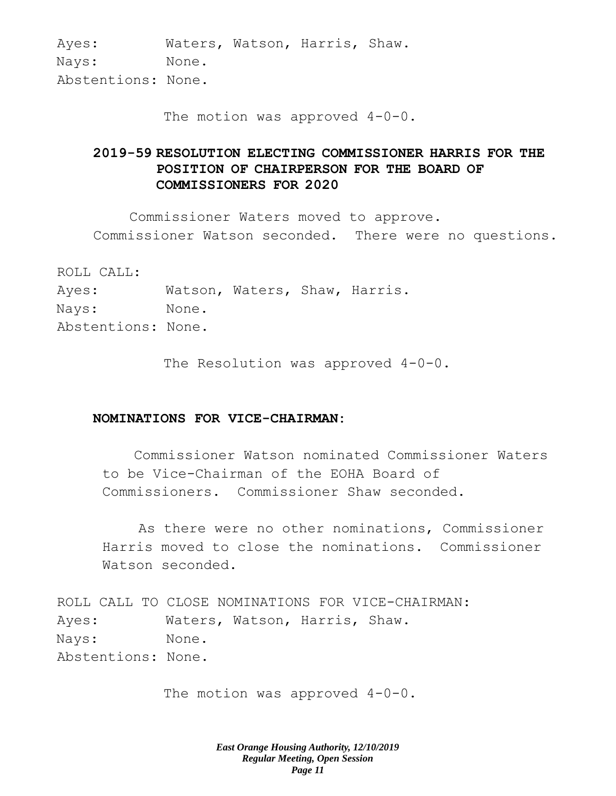Ayes: Waters, Watson, Harris, Shaw. Nays: None. Abstentions: None.

The motion was approved  $4-0-0$ .

# **2019-59 RESOLUTION ELECTING COMMISSIONER HARRIS FOR THE POSITION OF CHAIRPERSON FOR THE BOARD OF COMMISSIONERS FOR 2020**

Commissioner Waters moved to approve. Commissioner Watson seconded. There were no questions.

ROLL CALL:

Ayes: Watson, Waters, Shaw, Harris. Nays: None. Abstentions: None.

The Resolution was approved 4-0-0.

## **NOMINATIONS FOR VICE-CHAIRMAN:**

Commissioner Watson nominated Commissioner Waters to be Vice-Chairman of the EOHA Board of Commissioners. Commissioner Shaw seconded.

As there were no other nominations, Commissioner Harris moved to close the nominations. Commissioner Watson seconded.

ROLL CALL TO CLOSE NOMINATIONS FOR VICE-CHAIRMAN: Ayes: Waters, Watson, Harris, Shaw. Nays: None. Abstentions: None.

The motion was approved  $4-0-0$ .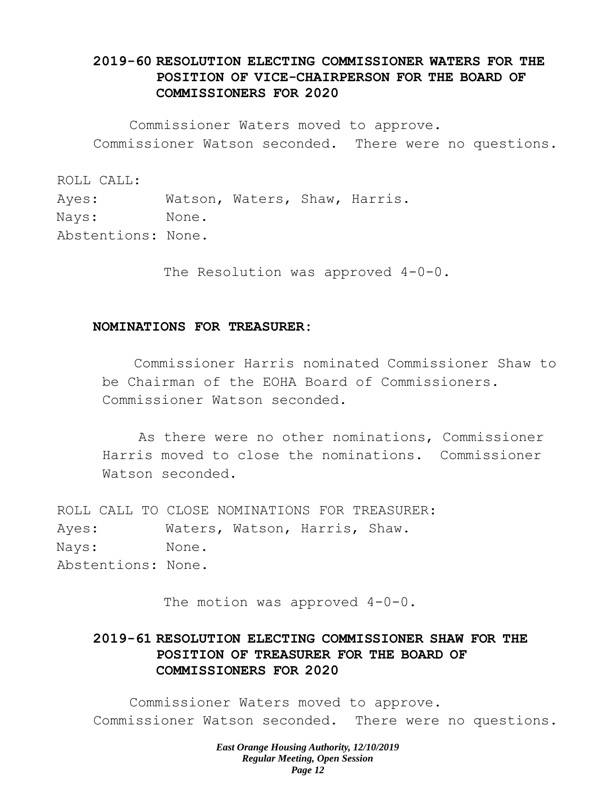# **2019-60 RESOLUTION ELECTING COMMISSIONER WATERS FOR THE POSITION OF VICE-CHAIRPERSON FOR THE BOARD OF COMMISSIONERS FOR 2020**

Commissioner Waters moved to approve. Commissioner Watson seconded. There were no questions.

ROLL CALL:

Ayes: Watson, Waters, Shaw, Harris. Nays: None. Abstentions: None.

The Resolution was approved  $4-0-0$ .

### **NOMINATIONS FOR TREASURER:**

Commissioner Harris nominated Commissioner Shaw to be Chairman of the EOHA Board of Commissioners. Commissioner Watson seconded.

As there were no other nominations, Commissioner Harris moved to close the nominations. Commissioner Watson seconded.

ROLL CALL TO CLOSE NOMINATIONS FOR TREASURER: Ayes: Waters, Watson, Harris, Shaw. Nays: None. Abstentions: None.

The motion was approved 4-0-0.

# **2019-61 RESOLUTION ELECTING COMMISSIONER SHAW FOR THE POSITION OF TREASURER FOR THE BOARD OF COMMISSIONERS FOR 2020**

Commissioner Waters moved to approve. Commissioner Watson seconded. There were no questions.